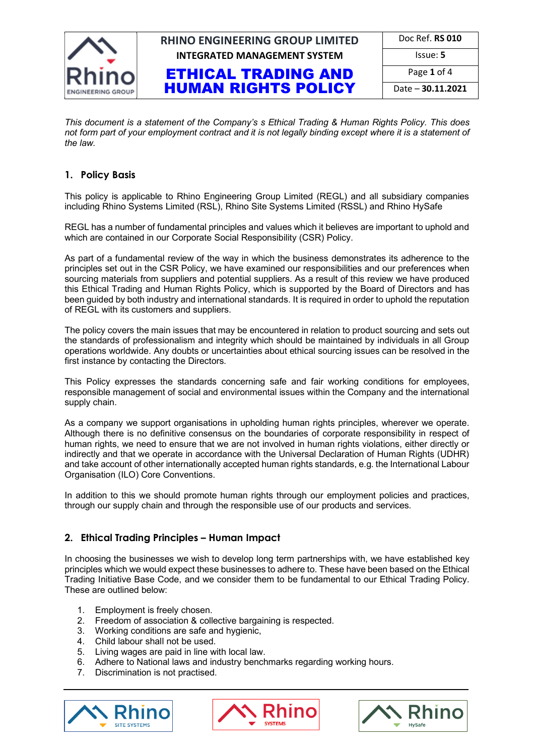

# **RHINO ENGINEERING GROUP LIMITED INTEGRATED MANAGEMENT SYSTEM**

ETHICAL TRADING AND HUMAN RIGHTS POLICY

| Doc Ref. <b>RS 010</b>   |
|--------------------------|
| Issue: 5                 |
| Page 1 of 4              |
| Date - <b>30.11.2021</b> |

*This document is a statement of the Company's s Ethical Trading & Human Rights Policy. This does not form part of your employment contract and it is not legally binding except where it is a statement of the law.* 

#### **1. Policy Basis**

This policy is applicable to Rhino Engineering Group Limited (REGL) and all subsidiary companies including Rhino Systems Limited (RSL), Rhino Site Systems Limited (RSSL) and Rhino HySafe

REGL has a number of fundamental principles and values which it believes are important to uphold and which are contained in our Corporate Social Responsibility (CSR) Policy.

As part of a fundamental review of the way in which the business demonstrates its adherence to the principles set out in the CSR Policy, we have examined our responsibilities and our preferences when sourcing materials from suppliers and potential suppliers. As a result of this review we have produced this Ethical Trading and Human Rights Policy, which is supported by the Board of Directors and has been guided by both industry and international standards. It is required in order to uphold the reputation of REGL with its customers and suppliers.

The policy covers the main issues that may be encountered in relation to product sourcing and sets out the standards of professionalism and integrity which should be maintained by individuals in all Group operations worldwide. Any doubts or uncertainties about ethical sourcing issues can be resolved in the first instance by contacting the Directors.

This Policy expresses the standards concerning safe and fair working conditions for employees, responsible management of social and environmental issues within the Company and the international supply chain.

As a company we support organisations in upholding human rights principles, wherever we operate. Although there is no definitive consensus on the boundaries of corporate responsibility in respect of human rights, we need to ensure that we are not involved in human rights violations, either directly or indirectly and that we operate in accordance with the Universal Declaration of Human Rights (UDHR) and take account of other internationally accepted human rights standards, e.g. the International Labour Organisation (ILO) Core Conventions.

In addition to this we should promote human rights through our employment policies and practices, through our supply chain and through the responsible use of our products and services.

#### **2. Ethical Trading Principles – Human Impact**

In choosing the businesses we wish to develop long term partnerships with, we have established key principles which we would expect these businesses to adhere to. These have been based on the Ethical Trading Initiative Base Code, and we consider them to be fundamental to our Ethical Trading Policy. These are outlined below:

- 1. Employment is freely chosen.
- 2. Freedom of association & collective bargaining is respected.
- 3. Working conditions are safe and hygienic,
- 4. Child labour shall not be used.
- 5. Living wages are paid in line with local law.
- 6. Adhere to National laws and industry benchmarks regarding working hours.
- 7. Discrimination is not practised.





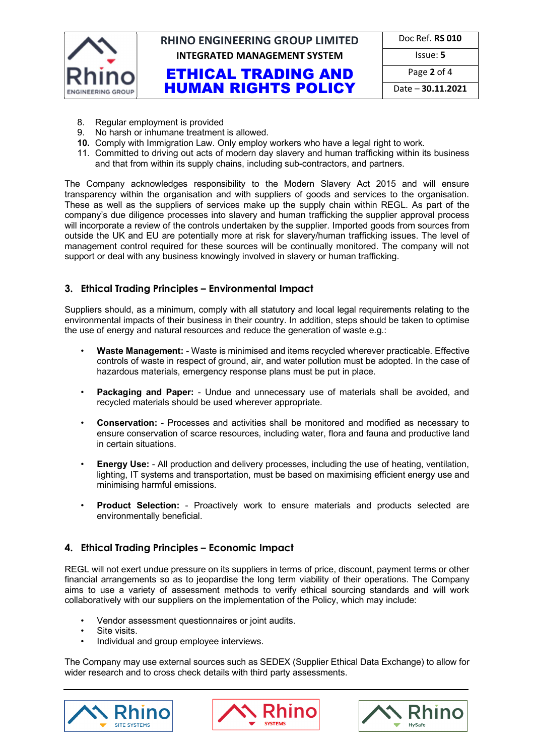

# **RHINO ENGINEERING GROUP LIMITED INTEGRATED MANAGEMENT SYSTEM ISSUE: 5**

|            | Doc Ref. RS 010 |  |  |  |
|------------|-----------------|--|--|--|
| $lcm \sim$ |                 |  |  |  |

ETHICAL TRADING AND HUMAN RIGHTS POLICY

| Page 2 of 4       |
|-------------------|
| Date - 30.11.2021 |

8. Regular employment is provided

- 9. No harsh or inhumane treatment is allowed.
- **10.** Comply with Immigration Law. Only employ workers who have a legal right to work.
- 11. Committed to driving out acts of modern day slavery and human trafficking within its business and that from within its supply chains, including sub-contractors, and partners.

The Company acknowledges responsibility to the Modern Slavery Act 2015 and will ensure transparency within the organisation and with suppliers of goods and services to the organisation. These as well as the suppliers of services make up the supply chain within REGL. As part of the company's due diligence processes into slavery and human trafficking the supplier approval process will incorporate a review of the controls undertaken by the supplier. Imported goods from sources from outside the UK and EU are potentially more at risk for slavery/human trafficking issues. The level of management control required for these sources will be continually monitored. The company will not support or deal with any business knowingly involved in slavery or human trafficking.

#### **3. Ethical Trading Principles – Environmental Impact**

Suppliers should, as a minimum, comply with all statutory and local legal requirements relating to the environmental impacts of their business in their country. In addition, steps should be taken to optimise the use of energy and natural resources and reduce the generation of waste e.g.:

- **Waste Management:**  Waste is minimised and items recycled wherever practicable. Effective controls of waste in respect of ground, air, and water pollution must be adopted. In the case of hazardous materials, emergency response plans must be put in place.
- **Packaging and Paper:**  Undue and unnecessary use of materials shall be avoided, and recycled materials should be used wherever appropriate.
- **Conservation:**  Processes and activities shall be monitored and modified as necessary to ensure conservation of scarce resources, including water, flora and fauna and productive land in certain situations.
- **Energy Use:**  All production and delivery processes, including the use of heating, ventilation, lighting, IT systems and transportation, must be based on maximising efficient energy use and minimising harmful emissions.
- **Product Selection:**  Proactively work to ensure materials and products selected are environmentally beneficial.

#### **4. Ethical Trading Principles – Economic Impact**

REGL will not exert undue pressure on its suppliers in terms of price, discount, payment terms or other financial arrangements so as to jeopardise the long term viability of their operations. The Company aims to use a variety of assessment methods to verify ethical sourcing standards and will work collaboratively with our suppliers on the implementation of the Policy, which may include:

- Vendor assessment questionnaires or joint audits.
- Site visits.
- Individual and group employee interviews.

The Company may use external sources such as SEDEX (Supplier Ethical Data Exchange) to allow for wider research and to cross check details with third party assessments.





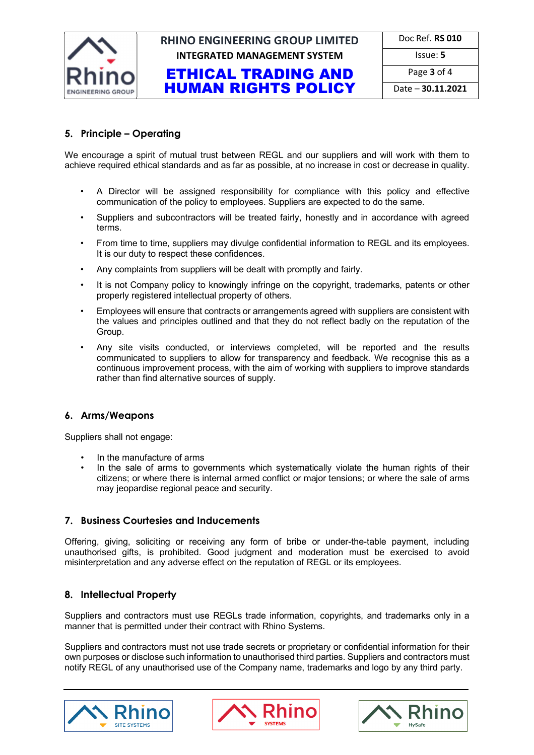

# **RHINO ENGINEERING GROUP LIMITED INTEGRATED MANAGEMENT SYSTEM ISSUE: 5**

|  | Doc Ref. RS 010 |  |
|--|-----------------|--|
|  |                 |  |

## ETHICAL TRADING AND HUMAN RIGHTS POLICY

Page **3** of 4

Date – **30.11.2021**

### **5. Principle – Operating**

We encourage a spirit of mutual trust between REGL and our suppliers and will work with them to achieve required ethical standards and as far as possible, at no increase in cost or decrease in quality.

- A Director will be assigned responsibility for compliance with this policy and effective communication of the policy to employees. Suppliers are expected to do the same.
- Suppliers and subcontractors will be treated fairly, honestly and in accordance with agreed terms.
- From time to time, suppliers may divulge confidential information to REGL and its employees. It is our duty to respect these confidences.
- Any complaints from suppliers will be dealt with promptly and fairly.
- It is not Company policy to knowingly infringe on the copyright, trademarks, patents or other properly registered intellectual property of others.
- Employees will ensure that contracts or arrangements agreed with suppliers are consistent with the values and principles outlined and that they do not reflect badly on the reputation of the Group.
- Any site visits conducted, or interviews completed, will be reported and the results communicated to suppliers to allow for transparency and feedback. We recognise this as a continuous improvement process, with the aim of working with suppliers to improve standards rather than find alternative sources of supply.

### **6. Arms/Weapons**

Suppliers shall not engage:

- In the manufacture of arms
- In the sale of arms to governments which systematically violate the human rights of their citizens; or where there is internal armed conflict or major tensions; or where the sale of arms may jeopardise regional peace and security.

## **7. Business Courtesies and Inducements**

Offering, giving, soliciting or receiving any form of bribe or under-the-table payment, including unauthorised gifts, is prohibited. Good judgment and moderation must be exercised to avoid misinterpretation and any adverse effect on the reputation of REGL or its employees.

## **8. Intellectual Property**

Suppliers and contractors must use REGLs trade information, copyrights, and trademarks only in a manner that is permitted under their contract with Rhino Systems.

Suppliers and contractors must not use trade secrets or proprietary or confidential information for their own purposes or disclose such information to unauthorised third parties. Suppliers and contractors must notify REGL of any unauthorised use of the Company name, trademarks and logo by any third party.